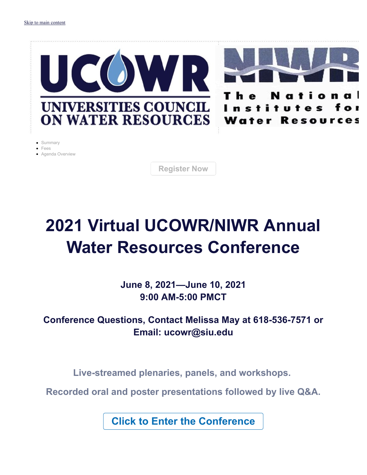

- Summary
- $F_{PAS}$
- Agenda Overview

**Register Now**

# **2021 Virtual UCOWR/NIWR Annual Water Resources Conference**

**June 8, 2021—June 10, 2021 9:00 AM-5:00 PMCT**

# **Conference Questions, Contact Melissa May at 618-536-7571 or Email: ucowr@siu.edu**

**Live-streamed plenaries, panels, and workshops.** 

**Recorded oral and poster presentations followed by live Q&A.**

**Click to Enter the Conference**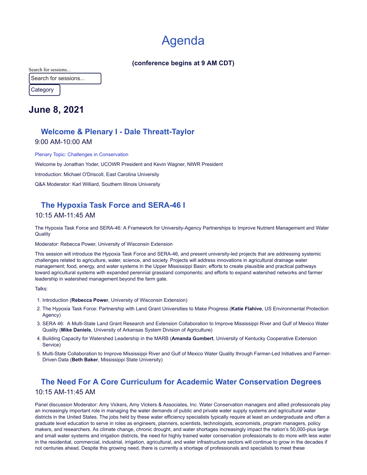# Agenda

#### **(conference begins at 9 AM CDT)**

Search for sessions...

Search for sessions...

Category

# **June 8, 2021**

# **Welcome & Plenary I - Dale Threatt-Taylor**

9:00 AM-10:00 AM

Plenary Topic: Challenges in Conservation Welcome by Jonathan Yoder, UCOWR President and Kevin Wagner, NIWR President Introduction: Michael O'Driscoll, East Carolina University Q&A Moderator: Karl Williard, Southern Illinois University

# **The Hypoxia Task Force and SERA-46 I**

### 10:15 AM-11:45 AM

The Hypoxia Task Force and SERA-46: A Framework for University-Agency Partnerships to Improve Nutrient Management and Water **Quality** 

#### Moderator: Rebecca Power, University of Wisconsin Extension

This session will introduce the Hypoxia Task Force and SERA-46, and present university-led projects that are addressing systemic challenges related to agriculture, water, science, and society. Projects will address innovations in agricultural drainage water management; food, energy, and water systems in the Upper Mississippi Basin; efforts to create plausible and practical pathways toward agricultural systems with expanded perennial grassland components; and efforts to expand watershed networks and farmer leadership in watershed management beyond the farm gate.

Talks:

- 1. Introduction (**Rebecca Power**, University of Wisconsin Extension)
- 2. The Hypoxia Task Force: Partnership with Land Grant Universities to Make Progress (**Katie Flahive**, US Environmental Protection Agency)
- 3. SERA 46: A Multi-State Land Grant Research and Extension Collaboration to Improve Mississippi River and Gulf of Mexico Water Quality (**Mike Daniels**, University of Arkansas System Division of Agriculture)
- 4. Building Capacity for Watershed Leadership in the MARB (**Amanda Gumbert**, University of Kentucky Cooperative Extension Service)
- 5. Multi-State Collaboration to Improve Mississippi River and Gulf of Mexico Water Quality through Farmer-Led Initiatives and Farmer-Driven Data (**Beth Baker**, Mississippi State University)

# **The Need For A Core Curriculum for Academic Water Conservation Degrees** 10:15 AM-11:45 AM

Panel discussion Moderator: Amy Vickers, Amy Vickers & Associates, Inc. Water Conservation managers and allied professionals play an increasingly important role in managing the water demands of public and private water supply systems and agricultural water districts in the United States. The jobs held by these water efficiency specialists typically require at least an undergraduate and often a graduate level education to serve in roles as engineers, planners, scientists, technologists, economists, program managers, policy makers, and researchers. As climate change, chronic drought, and water shortages increasingly impact the nation's 50,000-plus large and small water systems and irrigation districts, the need for highly trained water conservation professionals to do more with less water in the residential, commercial, industrial, irrigation, agricultural, and water infrastructure sectors will continue to grow in the decades if not centuries ahead. Despite this growing need, there is currently a shortage of professionals and specialists to meet these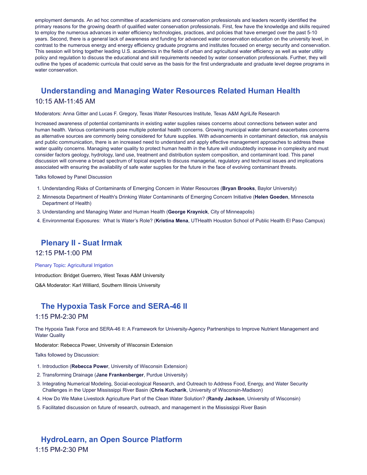employment demands. An ad hoc committee of academicians and conservation professionals and leaders recently identified the primary reasons for the growing dearth of qualified water conservation professionals. First, few have the knowledge and skills required to employ the numerous advances in water efficiency technologies, practices, and policies that have emerged over the past 5-10 years. Second, there is a general lack of awareness and funding for advanced water conservation education on the university level, in contrast to the numerous energy and energy efficiency graduate programs and institutes focused on energy security and conservation. This session will bring together leading U.S. academics in the fields of urban and agricultural water efficiency as well as water utility policy and regulation to discuss the educational and skill requirements needed by water conservation professionals. Further, they will outline the types of academic curricula that could serve as the basis for the first undergraduate and graduate level degree programs in water conservation.

# **Understanding and Managing Water Resources Related Human Health** 10:15 AM-11:45 AM

Moderators: Anna Gitter and Lucas F. Gregory, Texas Water Resources Institute, Texas A&M AgriLife Research

Increased awareness of potential contaminants in existing water supplies raises concerns about connections between water and human health. Various contaminants pose multiple potential health concerns. Growing municipal water demand exacerbates concerns as alternative sources are commonly being considered for future supplies. With advancements in contaminant detection, risk analysis and public communication, there is an increased need to understand and apply effective management approaches to address these water quality concerns. Managing water quality to protect human health in the future will undoubtedly increase in complexity and must consider factors geology, hydrology, land use, treatment and distribution system composition, and contaminant load. This panel discussion will convene a broad spectrum of topical experts to discuss managerial, regulatory and technical issues and implications associated with ensuring the availability of safe water supplies for the future in the face of evolving contaminant threats.

Talks followed by Panel Discussion

- 1. Understanding Risks of Contaminants of Emerging Concern in Water Resources (**Bryan Brooks**, Baylor University)
- 2. Minnesota Department of Health's Drinking Water Contaminants of Emerging Concern Initiative (**Helen Goeden**, Minnesota Department of Health)
- 3. Understanding and Managing Water and Human Health (**George Kraynick**, City of Minneapolis)
- 4. Environmental Exposures: What Is Water's Role? (**Kristina Mena**, UTHealth Houston School of Public Health El Paso Campus)

# **Plenary II - Suat Irmak**

12:15 PM-1:00 PM

Plenary Topic: Agricultural Irrigation

Introduction: Bridget Guerrero, West Texas A&M University

Q&A Moderator: Karl Williard, Southern Illinois University

# **The Hypoxia Task Force and SERA-46 II** 1:15 PM-2:30 PM

The Hypoxia Task Force and SERA-46 II: A Framework for University-Agency Partnerships to Improve Nutrient Management and Water Quality

Moderator: Rebecca Power, University of Wisconsin Extension

Talks followed by Discussion:

- 1. Introduction (**Rebecca Power**, University of Wisconsin Extension)
- 2. Transforming Drainage (**Jane Frankenberger**, Purdue University)
- 3. Integrating Numerical Modeling, Social-ecological Research, and Outreach to Address Food, Energy, and Water Security Challenges in the Upper Mississippi River Basin (**Chris Kucharik**, University of Wisconsin-Madison)
- 4. How Do We Make Livestock Agriculture Part of the Clean Water Solution? (**Randy Jackson**, University of Wisconsin)
- 5. Facilitated discussion on future of research, outreach, and management in the Mississippi River Basin

# **HydroLearn, an Open Source Platform** 1:15 PM-2:30 PM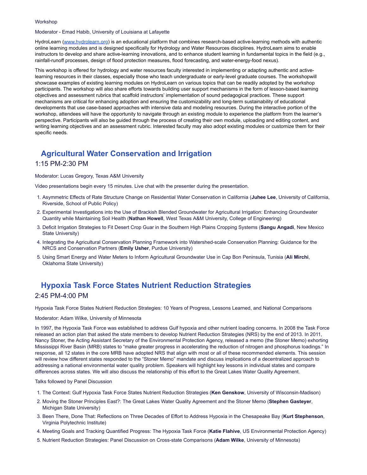#### **Workshop**

Moderator - Emad Habib, University of Louisiana at Lafayette

HydroLearn ([www.hydrolearn.org](http://www.hydrolearn.org/)) is an educational platform that combines research-based active-learning methods with authentic online learning modules and is designed specifically for Hydrology and Water Resources disciplines. HydroLearn aims to enable instructors to develop and share active-learning innovations, and to enhance student learning in fundamental topics in the field (e.g., rainfall-runoff processes, design of flood protection measures, flood forecasting, and water-energy-food nexus).

This workshop is offered for hydrology and water resources faculty interested in implementing or adapting authentic and activelearning resources in their classes, especially those who teach undergraduate or early-level graduate courses. The workshopwill showcase examples of existing learning modules on HydroLearn on various topics that can be readily adopted by the workshop participants. The workshop will also share efforts towards building user support mechanisms in the form of lesson-based learning objectives and assessment rubrics that scaffold instructors' implementation of sound pedagogical practices. These support mechanisms are critical for enhancing adoption and ensuring the customizability and long-term sustainability of educational developments that use case-based approaches with intensive data and modeling resources. During the interactive portion of the workshop, attendees will have the opportunity to navigate through an existing module to experience the platform from the learner's perspective. Participants will also be guided through the process of creating their own module, uploading and editing content, and writing learning objectives and an assessment rubric. Interested faculty may also adopt existing modules or customize them for their specific needs.

# **Agricultural Water Conservation and Irrigation**

#### 1:15 PM-2:30 PM

Moderator: Lucas Gregory, Texas A&M University

Video presentations begin every 15 minutes. Live chat with the presenter during the presentation.

- 1. Asymmetric Effects of Rate Structure Change on Residential Water Conservation in California (**Juhee Lee**, University of California, Riverside, School of Public Policy)
- 2. Experimental Investigations into the Use of Brackish Blended Groundwater for Agricultural Irrigation: Enhancing Groundwater Quantity while Maintaining Soil Health (**Nathan Howell**, West Texas A&M University, College of Engineering)
- 3. Deficit Irrigation Strategies to Fit Desert Crop Guar in the Southern High Plains Cropping Systems (**Sangu Angadi**, New Mexico State University)
- 4. Integrating the Agricultural Conservation Planning Framework into Watershed-scale Conservation Planning: Guidance for the NRCS and Conservation Partners (**Emily Usher**, Purdue University)
- 5. Using Smart Energy and Water Meters to Inform Agricultural Groundwater Use in Cap Bon Peninsula, Tunisia (**Ali Mirchi**, Oklahoma State University)

# **Hypoxia Task Force States Nutrient Reduction Strategies** 2:45 PM-4:00 PM

Hypoxia Task Force States Nutrient Reduction Strategies: 10 Years of Progress, Lessons Learned, and National Comparisons

#### Moderator: Adam Wilke, University of Minnesota

In 1997, the Hypoxia Task Force was established to address Gulf hypoxia and other nutrient loading concerns. In 2008 the Task Force released an action plan that asked the state members to develop Nutrient Reduction Strategies (NRS) by the end of 2013. In 2011, Nancy Stoner, the Acting Assistant Secretary of the Environmental Protection Agency, released a memo (the Stoner Memo) exhorting Mississippi River Basin (MRB) states to "make greater progress in accelerating the reduction of nitrogen and phosphorus loadings." In response, all 12 states in the core MRB have adopted NRS that align with most or all of these recommended elements. This session will review how different states responded to the "Stoner Memo" mandate and discuss implications of a decentralized approach to addressing a national environmental water quality problem. Speakers will highlight key lessons in individual states and compare differences across states. We will also discuss the relationship of this effort to the Great Lakes Water Quality Agreement.

#### Talks followed by Panel Discussion

- 1. The Context: Gulf Hypoxia Task Force States Nutrient Reduction Strategies (**Ken Genskow**, University of Wisconsin-Madison)
- 2. Moving the Stoner Principles East?: The Great Lakes Water Quality Agreement and the Stoner Memo (**Stephen Gasteyer**, Michigan State University)
- 3. Been There, Done That: Reflections on Three Decades of Effort to Address Hypoxia in the Chesapeake Bay (**Kurt Stephenson**, Virginia Polytechnic Institute)
- 4. Meeting Goals and Tracking Quantified Progress: The Hypoxia Task Force (**Katie Flahive**, US Environmental Protection Agency)
- 5. Nutrient Reduction Strategies: Panel Discussion on Cross-state Comparisons (**Adam Wilke**, University of Minnesota)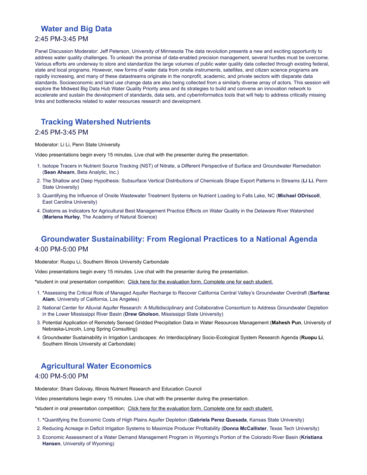# **Water and Big Data**

#### 2:45 PM-3:45 PM

Panel Discussion Moderator: Jeff Peterson, University of Minnesota The data revolution presents a new and exciting opportunity to address water quality challenges. To unleash the promise of data-enabled precision management, several hurdles must be overcome. Various efforts are underway to store and standardize the large volumes of public water quality data collected through existing federal, state and local programs. However, new forms of water data from onsite instruments, satellites, and citizen science programs are rapidly increasing, and many of these datastreams originate in the nonprofit, academic, and private sectors with disparate data standards. Socioeconomic and land use change data are also being collected from a similarly diverse array of actors. This session will explore the Midwest Big Data Hub Water Quality Priority area and its strategies to build and convene an innovation network to accelerate and sustain the development of standards, data sets, and cyberinformatics tools that will help to address critically missing links and bottlenecks related to water resources research and development.

# **Tracking Watershed Nutrients**

#### 2:45 PM-3:45 PM

#### Moderator: Li Li, Penn State University

Video presentations begin every 15 minutes. Live chat with the presenter during the presentation.

- 1. Isotope Tracers in Nutrient Source Tracking (NST) of Nitrate, a Different Perspective of Surface and Groundwater Remediation (**Sean Ahearn**, Beta Analytic, Inc.)
- 2. The Shallow and Deep Hypothesis: Subsurface Vertical Distributions of Chemicals Shape Export Patterns in Streams (**Li Li**, Penn State University)
- 3. Quantifying the Influence of Onsite Wastewater Treatment Systems on Nutrient Loading to Falls Lake, NC (**Michael ODriscoll**, East Carolina University)
- 4. Diatoms as Indicators for Agricultural Best Management Practice Effects on Water Quality in the Delaware River Watershed (**Mariena Hurley**, The Academy of Natural Science)

# **Groundwater Sustainability: From Regional Practices to a National Agenda** 4:00 PM-5:00 PM

Moderator: Ruopu Li, Southern Illinois University Carbondale

Video presentations begin every 15 minutes. Live chat with the presenter during the presentation.

**\***student in oral presentation competition; [Click here for the evaluation form. Complete one for each student.](https://forms.office.com/r/HfkUL649nB)

- 1. **\***Assessing the Critical Role of Managed Aquifer Recharge to Recover California Central Valley's Groundwater Overdraft (**Sarfaraz Alam**, University of California, Los Angeles)
- 2. National Center for Alluvial Aquifer Research: A Multidisciplinary and Collaborative Consortium to Address Groundwater Depletion in the Lower Mississippi River Basin (**Drew Gholson**, Mississippi State University)
- 3. Potential Application of Remotely Sensed Gridded Precipitation Data in Water Resources Management (**Mahesh Pun**, University of Nebraska-Lincoln, Long Spring Consulting)
- 4. Groundwater Sustainability in Irrigation Landscapes: An Interdisciplinary Socio-Ecological System Research Agenda (**Ruopu Li**, Southern Illinois University at Carbondale)

# **Agricultural Water Economics**

#### 4:00 PM-5:00 PM

Moderator: Shani Golovay, Illinois Nutrient Research and Education Council

Video presentations begin every 15 minutes. Live chat with the presenter during the presentation.

**\***student in oral presentation competition; [Click here for the evaluation form. Complete one for each student.](https://forms.office.com/r/HfkUL649nB)

- 1. **\***Quantifying the Economic Costs of High Plains Aquifer Depletion (**Gabriela Perez Quesada**, Kansas State University)
- 2. Reducing Acreage in Deficit Irrigation Systems to Maximize Producer Profitability (**Donna McCallister**, Texas Tech University)
- 3. Economic Assessment of a Water Demand Management Program in Wyoming's Portion of the Colorado River Basin (**Kristiana Hansen**, University of Wyoming)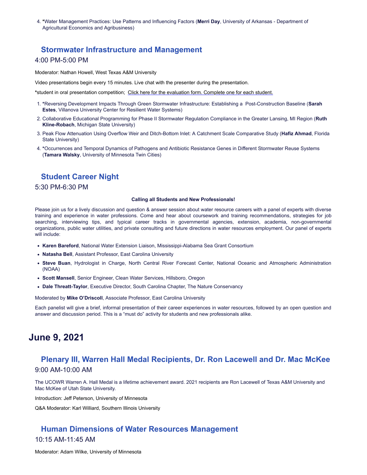4. **\***Water Management Practices: Use Patterns and Influencing Factors (**Merri Day**, University of Arkansas - Department of Agricultural Economics and Agribusiness)

#### **Stormwater Infrastructure and Management**

#### 4:00 PM-5:00 PM

Moderator: Nathan Howell, West Texas A&M University

Video presentations begin every 15 minutes. Live chat with the presenter during the presentation.

**\***student in oral presentation competition; [Click here for the evaluation form. Complete one for each student.](https://forms.office.com/r/HfkUL649nB)

- 1. **\***Reversing Development Impacts Through Green Stormwater Infrastructure: Establishing a Post-Construction Baseline (**Sarah Estes**, Villanova University Center for Resilient Water Systems)
- 2. Collaborative Educational Programming for Phase II Stormwater Regulation Compliance in the Greater Lansing, MI Region (**Ruth Kline-Robach**, Michigan State University)
- 3. Peak Flow Attenuation Using Overflow Weir and Ditch-Bottom Inlet: A Catchment Scale Comparative Study (**Hafiz Ahmad**, Florida State University)
- 4. **\***Occurrences and Temporal Dynamics of Pathogens and Antibiotic Resistance Genes in Different Stormwater Reuse Systems (**Tamara Walsky**, University of Minnesota Twin Cities)

### **Student Career Night**

5:30 PM-6:30 PM

#### **Calling all Students and New Professionals!**

Please join us for a lively discussion and question & answer session about water resource careers with a panel of experts with diverse training and experience in water professions. Come and hear about coursework and training recommendations, strategies for job searching, interviewing tips, and typical career tracks in governmental agencies, extension, academia, non-governmental organizations, public water utilities, and private consulting and future directions in water resources employment. Our panel of experts will include:

- **Karen Bareford**, National Water Extension Liaison, Mississippi-Alabama Sea Grant Consortium
- **Natasha Bell**, Assistant Professor, East Carolina University
- **Steve Buan**, Hydrologist in Charge, North Central River Forecast Center, National Oceanic and Atmospheric Administration (NOAA)
- **Scott Mansell**, Senior Engineer, Clean Water Services, Hillsboro, Oregon
- **Dale Threatt-Taylor**, Executive Director, South Carolina Chapter, The Nature Conservancy

Moderated by **Mike O'Driscoll**, Associate Professor, East Carolina University

Each panelist will give a brief, informal presentation of their career experiences in water resources, followed by an open question and answer and discussion period. This is a "must do" activity for students and new professionals alike.

# **June 9, 2021**

# **Plenary III, Warren Hall Medal Recipients, Dr. Ron Lacewell and Dr. Mac McKee** 9:00 AM-10:00 AM

The UCOWR Warren A. Hall Medal is a lifetime achievement award. 2021 recipients are Ron Lacewell of Texas A&M University and Mac McKee of Utah State University.

Introduction: Jeff Peterson, University of Minnesota

Q&A Moderator: Karl Williard, Southern Illinois University

# **Human Dimensions of Water Resources Management** 10:15 AM-11:45 AM

Moderator: Adam Wilke, University of Minnesota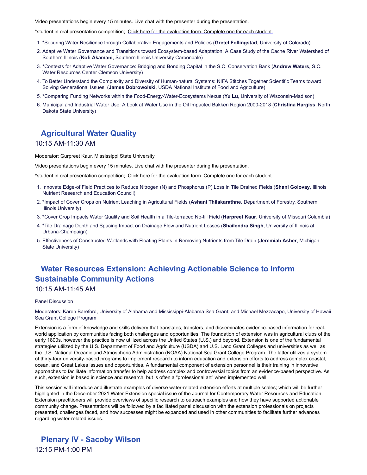Video presentations begin every 15 minutes. Live chat with the presenter during the presentation.

**\***student in oral presentation competition; [Click here for the evaluation form. Complete one for each student.](https://forms.office.com/r/HfkUL649nB)

- 1. **\***Securing Water Resilience through Collaborative Engagements and Policies (**Gretel Follingstad**, University of Colorado)
- 2. Adaptive Water Governance and Transitions toward Ecosystem-based Adaptation: A Case Study of the Cache River Watershed of Southern Illinois (**Kofi Akamani**, Southern Illinois University Carbondale)
- 3. **\***Contexts for Adaptive Water Governance: Bridging and Bonding Capital in the S.C. Conservation Bank (**Andrew Waters**, S.C. Water Resources Center Clemson University)
- 4. To Better Understand the Complexity and Diversity of Human-natural Systems: NIFA Stitches Together Scientific Teams toward Solving Generational Issues (**James Dobrowolski**, USDA National Institute of Food and Agriculture)
- 5. **\***Comparing Funding Networks within the Food-Energy-Water-Ecosystems Nexus (**Yu Lu**, University of Wisconsin-Madison)
- 6. Municipal and Industrial Water Use: A Look at Water Use in the Oil Impacted Bakken Region 2000-2018 (**Christina Hargiss**, North Dakota State University)

# **Agricultural Water Quality**

#### 10:15 AM-11:30 AM

Moderator: Gurpreet Kaur, Mississippi State University

Video presentations begin every 15 minutes. Live chat with the presenter during the presentation.

**\***student in oral presentation competition; [Click here for the evaluation form. Complete one for each student.](https://forms.office.com/r/HfkUL649nB)

- 1. Innovate Edge-of Field Practices to Reduce Nitrogen (N) and Phosphorus (P) Loss in Tile Drained Fields (**Shani Golovay**, Illinois Nutrient Research and Education Council)
- 2. **\***Impact of Cover Crops on Nutrient Leaching in Agricultural Fields (**Ashani Thilakarathne**, Department of Forestry, Southern Illinois University)
- 3. **\***Cover Crop Impacts Water Quality and Soil Health in a Tile-terraced No-till Field (**Harpreet Kaur**, University of Missouri Columbia)
- 4. **\***Tile Drainage Depth and Spacing Impact on Drainage Flow and Nutrient Losses (**Shailendra Singh**, University of Illinois at Urbana-Champaign)
- 5. Effectiveness of Constructed Wetlands with Floating Plants in Removing Nutrients from Tile Drain (**Jeremiah Asher**, Michigan State University)

# **Water Resources Extension: Achieving Actionable Science to Inform Sustainable Community Actions**

#### 10:15 AM-11:45 AM

#### Panel Discussion

Moderators: Karen Bareford, University of Alabama and Mississippi-Alabama Sea Grant; and Michael Mezzacapo, University of Hawaii Sea Grant College Program

Extension is a form of knowledge and skills delivery that translates, transfers, and disseminates evidence-based information for realworld application by communities facing both challenges and opportunities. The foundation of extension was in agricultural clubs of the early 1800s, however the practice is now utilized across the United States (U.S.) and beyond. Extension is one of the fundamental strategies utilized by the U.S. Department of Food and Agriculture (USDA) and U.S. Land Grant Colleges and universities as well as the U.S. National Oceanic and Atmospheric Administration (NOAA) National Sea Grant College Program. The latter utilizes a system of thirty-four university-based programs to implement research to inform education and extension efforts to address complex coastal, ocean, and Great Lakes issues and opportunities. A fundamental component of extension personnel is their training in innovative approaches to facilitate information transfer to help address complex and controversial topics from an evidence-based perspective. As such, extension is based in science and research, but is often a "professional art" when implemented well.

This session will introduce and illustrate examples of diverse water-related extension efforts at multiple scales; which will be further highlighted in the December 2021 Water Extension special issue of the Journal for Contemporary Water Resources and Education. Extension practitioners will provide overviews of specific research to outreach examples and how they have supported actionable community change. Presentations will be followed by a facilitated panel discussion with the extension professionals on projects presented, challenges faced, and how successes might be expanded and used in other communities to facilitate further advances regarding water-related issues.

**Plenary IV - Sacoby Wilson** 12:15 PM-1:00 PM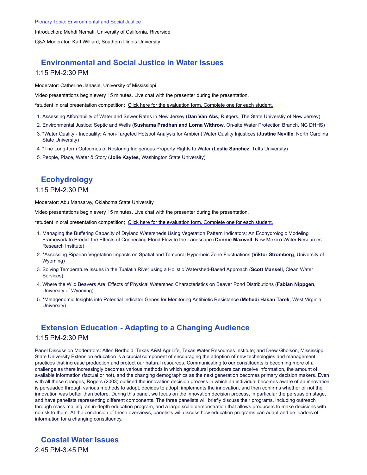Introduction: Mehdi Nemati, University of California, Riverside

Q&A Moderator: Karl Williard, Southern Illinois University

# **Environmental and Social Justice in Water Issues** 1:15 PM-2:30 PM

Moderator: Catherine Janasie, University of Mississippi

Video presentations begin every 15 minutes. Live chat with the presenter during the presentation.

**\***student in oral presentation competition; [Click here for the evaluation form. Complete one for each student.](https://forms.office.com/r/HfkUL649nB)

- 1. Assessing Affordability of Water and Sewer Rates in New Jersey (**Dan Van Abs**, Rutgers, The State Universtiy of New Jersey)
- 2. Environmental Justice: Septic and Wells (**Sushama Pradhan and Lorna Withrow**, On-site Water Protection Branch, NC DHHS)
- 3. **\***Water Quality Inequality: A non-Targeted Hotspot Analysis for Ambient Water Quality Injustices (**Justine Neville**, North Carolina State University)
- 4. **\***The Long-term Outcomes of Restoring Indigenous Property Rights to Water (**Leslie Sanchez**, Tufts University)
- 5. People, Place, Water & Story (**Jolie Kaytes**, Washington State University)

# **Ecohydrology**

#### 1:15 PM-2:30 PM

Moderator: Abu Mansaray, Oklahoma State University

Video presentations begin every 15 minutes. Live chat with the presenter during the presentation.

**\***student in oral presentation competition; [Click here for the evaluation form. Complete one for each student.](https://forms.office.com/r/HfkUL649nB)

- 1. Managing the Buffering Capacity of Dryland Watersheds Using Vegetation Pattern Indicators: An Ecohydrologic Modeling Framework to Predict the Effects of Connecting Flood Flow to the Landscape (**Connie Maxwell**, New Mexico Water Resources Research Institute)
- 2. **\***Assessing Riparian Vegetation Impacts on Spatial and Temporal Hyporheic Zone Fluctuations (**Viktor Stromberg**, University of Wyoming)
- 3. Solving Temperature Issues in the Tualatin River using a Holistic Watershed-Based Approach (**Scott Mansell**, Clean Water Services)
- 4. Where the Wild Beavers Are: Effects of Physical Watershed Characteristics on Beaver Pond Distributions (**Fabian Nippgen**, University of Wyoming)
- 5. **\***Metagenomic Insights into Potential Indicator Genes for Monitoring Antibiotic Resistance (**Mehedi Hasan Tarek**, West Virginia University)

# **Extension Education - Adapting to a Changing Audience**

#### 1:15 PM-2:30 PM

Panel Discussion Moderators: Allen Berthold, Texas A&M AgriLife, Texas Water Resources Institute; and Drew Gholson, Mississippi State University Extension education is a crucial component of encouraging the adoption of new technologies and management practices that increase production and protect our natural resources. Communicating to our constituents is becoming more of a challenge as there increasingly becomes various methods in which agricultural producers can receive information, the amount of available information (factual or not), and the changing demographics as the next generation becomes primary decision makers. Even with all these changes, Rogers (2003) outlined the innovation decision process in which an individual becomes aware of an innovation, is persuaded through various methods to adopt, decides to adopt, implements the innovation, and then confirms whether or not the innovation was better than before. During this panel, we focus on the innovation decision process, in particular the persuasion stage, and have panelists representing different components. The three panelists will briefly discuss their programs, including outreach through mass mailing, an in-depth education program, and a large scale demonstration that allows producers to make decisions with no risk to them. At the conclusion of these overviews, panelists will discuss how education programs can adapt and be leaders of information for a changing constituency.

**Coastal Water Issues** 2:45 PM-3:45 PM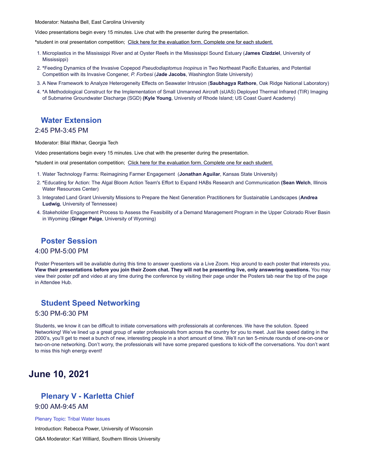Moderator: Natasha Bell, East Carolina University

Video presentations begin every 15 minutes. Live chat with the presenter during the presentation.

**\***student in oral presentation competition; [Click here for the evaluation form. Complete one for each student.](https://forms.office.com/r/HfkUL649nB)

- 1. Microplastics in the Mississippi River and at Oyster Reefs in the Mississippi Sound Estuary (**James Cizdziel**, University of Mississippi)
- 2. **\***Feeding Dynamics of the Invasive Copepod *Pseudodiaptomus Inopinus* in Two Northeast Pacific Estuaries, and Potential Competition with its Invasive Congener, *P. Forbesi* (**Jade Jacobs**, Washington State University)
- 3. A New Framework to Analyze Heterogeneity Effects on Seawater Intrusion (**Saubhagya Rathore**, Oak Ridge National Laboratory)
- 4. **\***A Methodological Construct for the Implementation of Small Unmanned Aircraft (sUAS) Deployed Thermal Infrared (TIR) Imaging of Submarine Groundwater Discharge (SGD) **(Kyle Young**, University of Rhode Island; US Coast Guard Academy)

### **Water Extension**

#### 2:45 PM-3:45 PM

Moderator: Bilal Iftikhar, Georgia Tech

Video presentations begin every 15 minutes. Live chat with the presenter during the presentation.

**\***student in oral presentation competition; [Click here for the evaluation form. Complete one for each student.](https://forms.office.com/r/HfkUL649nB)

- 1. Water Technology Farms: Reimagining Farmer Engagement (**Jonathan Aguilar**, Kansas State University)
- 2. **\***Educating for Action: The Algal Bloom Action Team's Effort to Expand HABs Research and Communication **(Sean Welch**, Illinois Water Resources Center)
- 3. Integrated Land Grant University Missions to Prepare the Next Generation Practitioners for Sustainable Landscapes (**Andrea Ludwig**, University of Tennessee)
- 4. Stakeholder Engagement Process to Assess the Feasibility of a Demand Management Program in the Upper Colorado River Basin in Wyoming (**Ginger Paige**, University of Wyoming)

### **Poster Session**

#### 4:00 PM-5:00 PM

Poster Presenters will be available during this time to answer questions via a Live Zoom. Hop around to each poster that interests you. **View their presentations before you join their Zoom chat. They will not be presenting live, only answering questions.** You may view their poster pdf and video at any time during the conference by visiting their page under the Posters tab near the top of the page in Attendee Hub.

### **Student Speed Networking**

#### 5:30 PM-6:30 PM

Students, we know it can be difficult to initiate conversations with professionals at conferences. We have the solution. Speed Networking! We've lined up a great group of water professionals from across the country for you to meet. Just like speed dating in the 2000's, you'll get to meet a bunch of new, interesting people in a short amount of time. We'll run ten 5-minute rounds of one-on-one or two-on-one networking. Don't worry, the professionals will have some prepared questions to kick-off the conversations. You don't want to miss this high energy event!

# **June 10, 2021**

# **Plenary V - Karletta Chief**

# 9:00 AM-9:45 AM

#### Plenary Topic: Tribal Water Issues

Introduction: Rebecca Power, University of Wisconsin

Q&A Moderator: Karl Williard, Southern Illinois University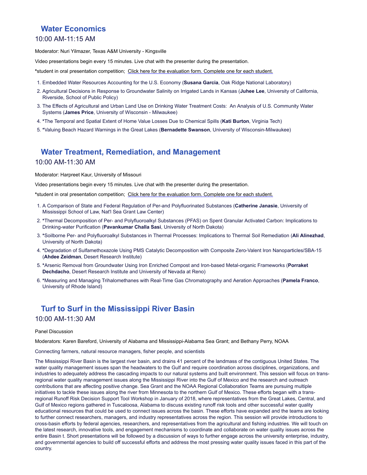# **Water Economics**

#### 10:00 AM-11:15 AM

Moderator: Nuri Yilmazer, Texas A&M University - Kingsville

Video presentations begin every 15 minutes. Live chat with the presenter during the presentation.

**\***student in oral presentation competition; [Click here for the evaluation form. Complete one for each student.](https://forms.office.com/r/HfkUL649nB)

- 1. Embedded Water Resources Accounting for the U.S. Economy (**Susana Garcia**, Oak Ridge National Laboratory)
- 2. Agricultural Decisions in Response to Groundwater Salinity on Irrigated Lands in Kansas (**Juhee Lee**, University of California, Riverside, School of Public Policy)
- 3. The Effects of Agricultural and Urban Land Use on Drinking Water Treatment Costs: An Analysis of U.S. Community Water Systems (**James Price**, University of Wisconsin - Milwaukee)
- 4. **\***The Temporal and Spatial Extent of Home Value Losses Due to Chemical Spills (**Kati Burton**, Virginia Tech)
- 5. **\***Valuing Beach Hazard Warnings in the Great Lakes (**Bernadette Swanson**, University of Wisconsin-Milwaukee)

# **Water Treatment, Remediation, and Management**

#### 10:00 AM-11:30 AM

Moderator: Harpreet Kaur, University of Missouri

Video presentations begin every 15 minutes. Live chat with the presenter during the presentation.

**\***student in oral presentation competition; [Click here for the evaluation form. Complete one for each student.](https://forms.office.com/r/HfkUL649nB)

- 1. A Comparison of State and Federal Regulation of Per-and Polyfluorinated Substances (**Catherine Janasie**, University of Mississippi School of Law, Nat'l Sea Grant Law Center)
- 2. **\***Thermal Decomposition of Per- and Polyfluoroalkyl Substances (PFAS) on Spent Granular Activated Carbon: Implications to Drinking-water Purification (**Pavankumar Challa Sasi**, University of North Dakota)
- 3. **\***Soilborne Per- and Polyfluoroalkyl Substances in Thermal Processes: Implications to Thermal Soil Remediation (**Ali Alinezhad**, University of North Dakota)
- 4. **\***Degradation of Sulfamethoxazole Using PMS Catalytic Decomposition with Composite Zero-Valent Iron Nanoparticles/SBA-15 (**Ahdee Zeidman**, Desert Research Institute)
- 5. **\***Arsenic Removal from Groundwater Using Iron Enriched Compost and Iron-based Metal-organic Frameworks (**Porraket Dechdacho**, Desert Research Institute and University of Nevada at Reno)
- 6. **\***Measuring and Managing Trihalomethanes with Real-Time Gas Chromatography and Aeration Approaches (**Pamela Franco**, University of Rhode Island)

# **Turf to Surf in the Mississippi River Basin**

#### 10:00 AM-11:30 AM

#### Panel Discussion

Moderators: Karen Bareford, University of Alabama and Mississippi-Alabama Sea Grant; and Bethany Perry, NOAA

Connecting farmers, natural resource managers, fisher people, and scientists

The Mississippi River Basin is the largest river basin, and drains 41 percent of the landmass of the contiguous United States. The water quality management issues span the headwaters to the Gulf and require coordination across disciplines, organizations, and industries to adequately address the cascading impacts to our natural systems and built environment. This session will focus on transregional water quality management issues along the Mississippi River into the Gulf of Mexico and the research and outreach contributions that are affecting positive change. Sea Grant and the NOAA Regional Collaboration Teams are pursuing multiple initiatives to tackle these issues along the river from Minnesota to the northern Gulf of Mexico. These efforts began with a transregional Runoff Risk Decision Support Tool Workshop in January of 2018, where representatives from the Great Lakes, Central, and Gulf of Mexico regions gathered in Tuscaloosa, Alabama to discuss existing runoff risk tools and other successful water quality educational resources that could be used to connect issues across the basin. These efforts have expanded and the teams are looking to further connect researchers, managers, and industry representatives across the region. This session will provide introductions to cross-basin efforts by federal agencies, researchers, and representatives from the agricultural and fishing industries. We will touch on the latest research, innovative tools, and engagement mechanisms to coordinate and collaborate on water quality issues across the entire Basin t. Short presentations will be followed by a discussion of ways to further engage across the university enterprise, industry, and governmental agencies to build off successful efforts and address the most pressing water quality issues faced in this part of the country.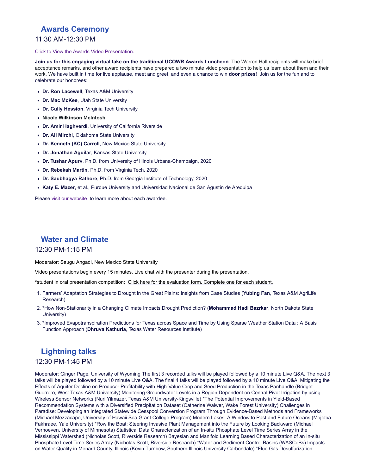# **Awards Ceremony**

#### 11:30 AM-12:30 PM

#### [Click to View the Awards Video Presentation.](https://youtu.be/tE3AuuHxYo4)

**Join us for this engaging virtual take on the traditional UCOWR Awards Luncheon**. The Warren Hall recipients will make brief acceptance remarks, and other award recipients have prepared a two minute video presentation to help us learn about them and their work. We have built in time for live applause, meet and greet, and even a chance to win **door prizes**! Join us for the fun and to celebrate our honorees:

- **Dr. Ron Lacewell**, Texas A&M University
- **Dr. Mac McKee**, Utah State University
- **Dr. Cully Hession**, Virginia Tech University
- **Nicole Wilkinson McIntosh**
- **Dr. Amir Haghverdi**, University of California Riverside
- **Dr. Ali Mirchi**, Oklahoma State University
- **Dr. Kenneth (KC) Carroll**, New Mexico State University
- **Dr. Jonathan Aguilar**, Kansas State University
- **Dr. Tushar Apurv**, Ph.D. from University of Illinois Urbana-Champaign, 2020
- **Dr. Rebekah Martin**, Ph.D. from Virginia Tech, 2020
- **Dr. Saubhagya Rathore**, Ph.D. from Georgia Institute of Technology, 2020
- **Katy E. Mazer**, et al., Purdue University and Universidad Nacional de San Agustín de Arequipa

Please [visit our website](https://ucowr.org/awards/) to learn more about each awardee.

# **Water and Climate**

#### 12:30 PM-1:15 PM

Moderator: Saugu Angadi, New Mexico State University

Video presentations begin every 15 minutes. Live chat with the presenter during the presentation.

**\***student in oral presentation competition; [Click here for the evaluation form. Complete one for each student.](https://forms.office.com/r/HfkUL649nB)

- 1. Farmers' Adaptation Strategies to Drought in the Great Plains: Insights from Case Studies (**Yubing Fan**, Texas A&M AgriLife Research)
- 2. **\***How Non-Stationarity in a Changing Climate Impacts Drought Prediction? (**Mohammad Hadi Bazrkar**, North Dakota State University)
- 3. **\***Improved Evapotranspiration Predictions for Texas across Space and Time by Using Sparse Weather Station Data : A Basis Function Approach (**Dhruva Kathuria**, Texas Water Resources Institute)

# **Lightning talks**

#### 12:30 PM-1:45 PM

Moderator: Ginger Page, University of Wyoming The first 3 recorded talks will be played followed by a 10 minute Live Q&A. The next 3 talks will be played followed by a 10 minute Live Q&A. The final 4 talks will be played followed by a 10 minute Live Q&A. Mitigating the Effects of Aquifer Decline on Producer Profitability with High-Value Crop and Seed Production in the Texas Panhandle (Bridget Guerrero, West Texas A&M University) Monitoring Groundwater Levels in a Region Dependent on Central Pivot Irrigation by using Wireless Sensor Networks (Nuri Yilmazer, Texas A&M University-Kingsville) \*The Potential Improvements in Yield-Based Recommendation Systems with a Diversified Precipitation Dataset (Catherine Walwer, Wake Forest University) Challenges in Paradise: Developing an Integrated Statewide Cesspool Conversion Program Through Evidence-Based Methods and Frameworks (Michael Mezzacapo, University of Hawaii Sea Grant College Program) Modern Lakes: A Window to Past and Future Oceans (Mojtaba Fakhraee, Yale University) \*Row the Boat: Steering Invasive Plant Management into the Future by Looking Backward (Michael Verhoeven, University of Minnesota) Statistical Data Characterization of an In-situ Phosphate Level Time Series Array in the Mississippi Watershed (Nicholas Scott, Riverside Research) Bayesian and Manifold Learning Based Characterization of an In-situ Phosphate Level Time Series Array (Nicholas Scott, Riverside Research) \*Water and Sediment Control Basins (WASCoBs) Impacts on Water Quality in Menard County, Illinois (Kevin Turnbow, Southern Illinois University Carbondale) \*Flue Gas Desulfurization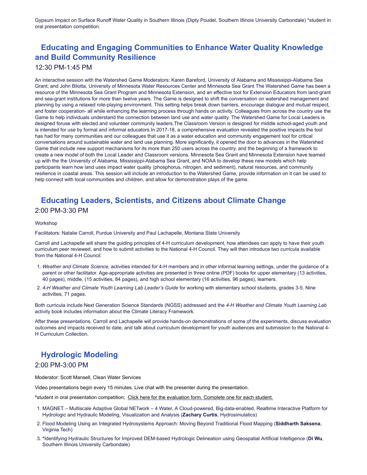Gypsum Impact on Surface Runoff Water Quality in Southern Illinois (Dipty Poudel, Southern Illinois University Carbondale) \*student in oral presentation competition.

# **Educating and Engaging Communities to Enhance Water Quality Knowledge and Build Community Resilience**

#### 12:30 PM-1:45 PM

An interactive session with the Watershed Game Moderators: Karen Bareford, University of Alabama and Mississippi-Alabama Sea Grant; and John Bilotta, University of Minnesota Water Resources Center and Minnesota Sea Grant The Watershed Game has been a resource of the Minnesota Sea Grant Program and Minnesota Extension, and an effective tool for Extension Educators from land-grant and sea-grant institutions for more than twelve years. The Game is designed to shift the conversation on watershed management and planning by using a relaxed role-playing environment. This setting helps break down barriers, encourage dialogue and mutual respect, and foster cooperation- all while enhancing the learning process through hands on activity. Colleagues from across the country use the Game to help individuals understand the connection between land use and water quality. The Watershed Game for Local Leaders is designed foruse with elected and volunteer community leaders.The Classroom Version is designed for middle school-aged youth and is intended for use by formal and informal educators.In 2017-18, a comprehensive evaluation revealed the positive impacts the tool has had for many communities and our colleagues that use it as a water education and community engagement tool for critical conversations around sustainable water and land use planning. More significantly, it opened the door to advances in the Watershed Game that include new support mechanisms for its more than 250 users across the country, and the beginning of a framework to create a new model of both the Local Leader and Classroom versions. Minnesota Sea Grant and Minnesota Extension have teamed up with the the University of Alabama, Mississippi-Alabama Sea Grant, and NOAA to develop these new models which help participants learn how land uses impact water quality (phosphorus, nitrogen, and sediment), natural resources, and community resilience in coastal areas. This session will include an introduction to the Watershed Game, provide information on it can be used to help connect with local communities and children, and allow for demonstration plays of the game.

# **Educating Leaders, Scientists, and Citizens about Climate Change** 2:00 PM-3:30 PM

#### **Workshop**

Facilitators: Natalie Carroll, Purdue University and Paul Lachapelle, Montana State University

Carroll and Lachapelle will share the guiding principles of 4-H curriculum development, how attendees can apply to have their youth curriculum peer reviewed, and how to submit activities to the National 4-H Council. They will then introduce two curricula available from the National 4-H Council:

- 1. *Weather and Climate Science*, activities intended for 4-H members and in other informal learning settings, under the guidance of a parent or other facilitator. Age-appropriate activities are presented in three online (PDF) books for upper elementary (13 activities, 40 pages), middle, (15 activities, 84 pages), and high school elementary (16 activities, 96 pages), learners.
- 2. *4-H Weather and Climate Youth Learning Lab Leader's Guide* for working with elementary school students, grades 3-5. Nine activities, 71 pages.

Both curricula include Next Generation Science Standards (NGSS) addressed and the *4-H Weather and Climate Youth Learning Lab* activity book includes information about the Climate Literacy Framework.

After these presentations, Carroll and Lachapelle will provide hands-on demonstrations of some of the experiments, discuss evaluation outcomes and impacts received to date, and talk about curriculum development for youth audiences and submission to the National 4- H Curriculum Collection.

# **Hydrologic Modeling**

#### 2:00 PM-3:00 PM

Moderator: Scott Mansell, Clean Water Services

Video presentations begin every 15 minutes. Live chat with the presenter during the presentation.

**\***student in oral presentation competition; [Click here for the evaluation form. Complete one for each student.](https://forms.office.com/r/HfkUL649nB)

- 1. MAGNET Multiscale Adaptive Global NETwork 4 Water, A Cloud-powered, Big-data-enabled, Realtime Interactive Platform for Hydrologic and Hydraulic Modeling, Visualization and Analysis (**Zachary Curtis**, Hydrosimulatics)
- 2. Flood Modeling Using an Integrated Hydrosystems Approach: Moving Beyond Traditional Flood Mapping (**Siddharth Saksena**, Virginia Tech)
- 3. **\***Identifying Hydraulic Structures for Improved DEM-based Hydrologic Delineation using Geospatial Artificial Intelligence (**Di Wu**, Southern Illinois University Carbondale)